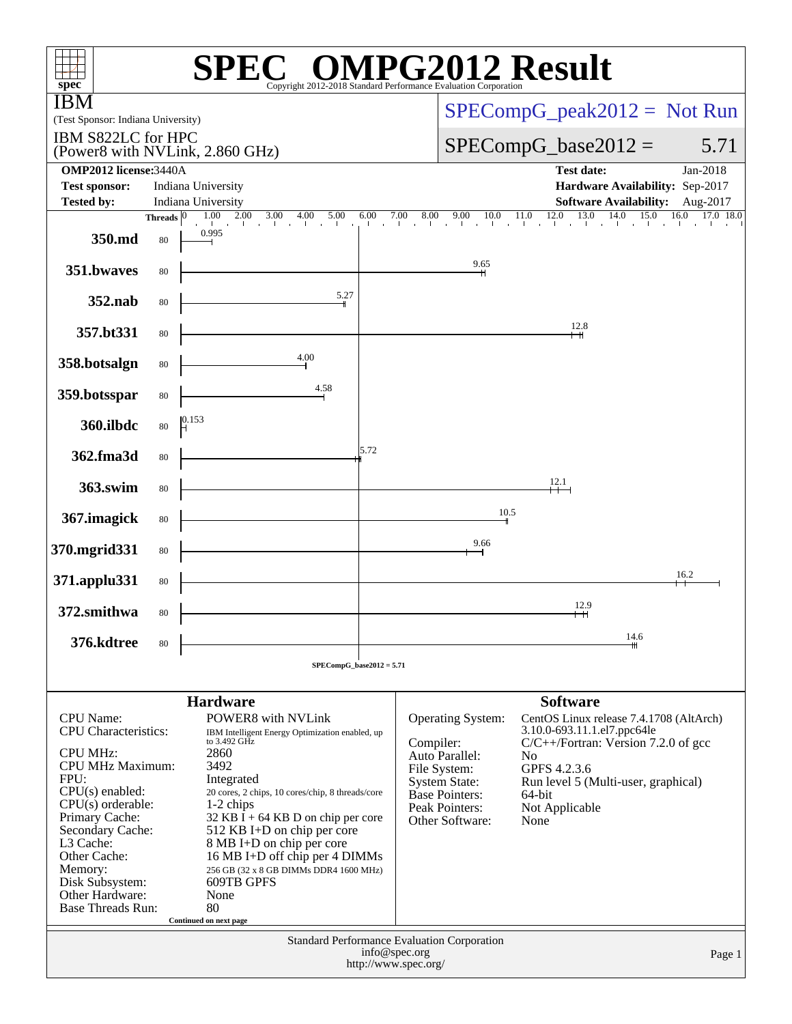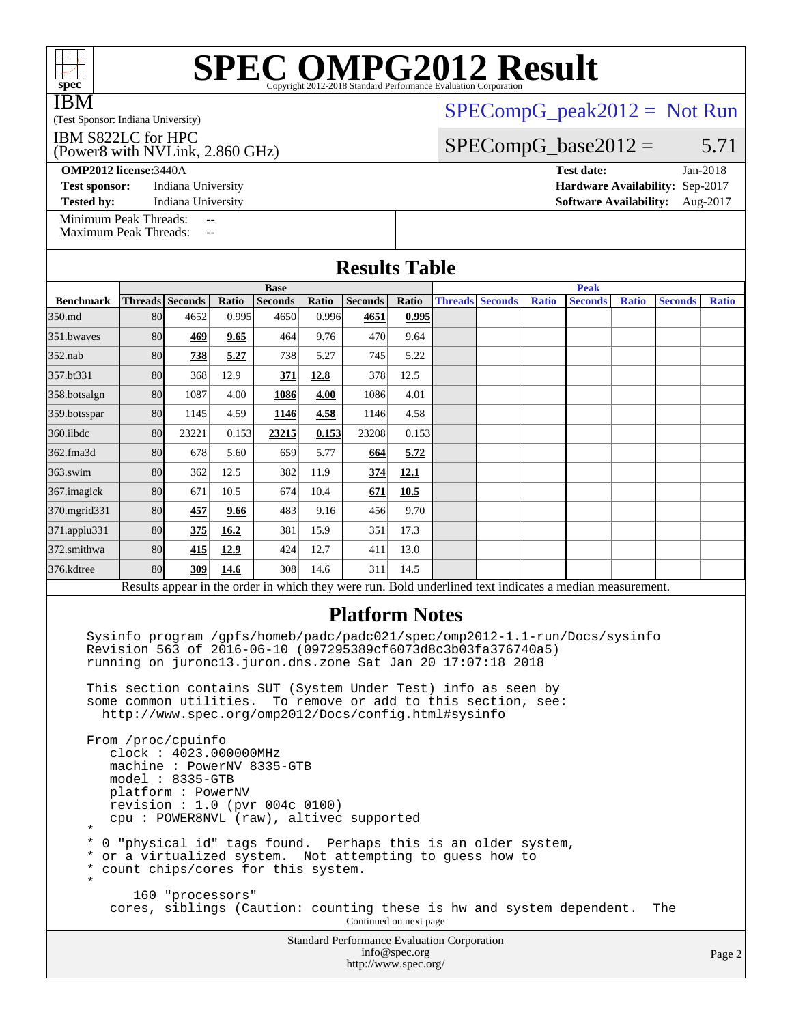| $spec^*$                                              |    |                                |                |                        |                | <b>SPEC OMPG2012 Result</b><br>Copyright 2012-2018 Standard Performance Evaluation Corporation |                |  |  |       |                               |              |                                 |              |
|-------------------------------------------------------|----|--------------------------------|----------------|------------------------|----------------|------------------------------------------------------------------------------------------------|----------------|--|--|-------|-------------------------------|--------------|---------------------------------|--------------|
| <b>IBM</b>                                            |    |                                |                |                        |                |                                                                                                |                |  |  |       |                               |              | $SPECompG_peak2012 = Not Run$   |              |
| (Test Sponsor: Indiana University)                    |    |                                |                |                        |                |                                                                                                |                |  |  |       |                               |              |                                 |              |
| IBM S822LC for HPC<br>(Power8 with NVLink, 2.860 GHz) |    |                                |                |                        |                |                                                                                                |                |  |  |       | $SPECompG_base2012 =$         |              |                                 | 5.71         |
| <b>OMP2012 license: 3440A</b>                         |    |                                |                |                        |                |                                                                                                |                |  |  |       | <b>Test date:</b>             |              |                                 | Jan-2018     |
| <b>Test sponsor:</b>                                  |    | Indiana University             |                |                        |                |                                                                                                |                |  |  |       |                               |              | Hardware Availability: Sep-2017 |              |
| <b>Tested by:</b>                                     |    | Indiana University             |                |                        |                |                                                                                                |                |  |  |       | <b>Software Availability:</b> |              |                                 | Aug-2017     |
| Minimum Peak Threads:<br><b>Maximum Peak Threads:</b> |    | $-$<br>$-$                     |                |                        |                |                                                                                                |                |  |  |       |                               |              |                                 |              |
|                                                       |    |                                |                |                        |                | <b>Results Table</b>                                                                           |                |  |  |       |                               |              |                                 |              |
|                                                       |    | <b>Base</b><br>Threads Seconds |                |                        |                | <b>Peak</b><br><b>Threads Seconds</b>                                                          |                |  |  |       |                               |              |                                 |              |
| <b>Benchmark</b><br>350.md                            | 80 | 4652                           | Ratio<br>0.995 | <b>Seconds</b><br>4650 | Ratio<br>0.996 | <b>Seconds</b><br>4651                                                                         | Ratio<br>0.995 |  |  | Ratio | <b>Seconds</b>                | <b>Ratio</b> | <b>Seconds</b>                  | <b>Ratio</b> |
| 351.bwayes                                            | 80 | 469                            | 9.65           | 464                    | 9.76           | 470                                                                                            | 9.64           |  |  |       |                               |              |                                 |              |
| $352$ .nab                                            | 80 | 738                            | 5.27           | 738                    | 5.27           | 745                                                                                            | 5.22           |  |  |       |                               |              |                                 |              |
| 357.bt331                                             | 80 | 368                            | 12.9           | 371                    | 12.8           | 378                                                                                            | 12.5           |  |  |       |                               |              |                                 |              |
| 358.botsalgn                                          | 80 | 1087                           | 4.00           | 1086                   | 4.00           | 1086                                                                                           | 4.01           |  |  |       |                               |              |                                 |              |
| 359.botsspar                                          | 80 | 1145                           | 4.59           | 1146                   | 4.58           | 1146                                                                                           | 4.58           |  |  |       |                               |              |                                 |              |
| $360$ , ilbdc                                         | 80 | 23221                          | 0.153          | 23215                  | 0.153          | 23208                                                                                          | 0.153          |  |  |       |                               |              |                                 |              |
| 362.fma3d                                             | 80 | 678                            | 5.60           | 659                    | 5.77           | 664                                                                                            | 5.72           |  |  |       |                               |              |                                 |              |
| $363$ .swim                                           | 80 | 362                            | 12.5           | 382                    | 11.9           | 374                                                                                            | 12.1           |  |  |       |                               |              |                                 |              |
| 367.imagick                                           | 80 | 671                            | 10.5           | 674                    | 10.4           | 671                                                                                            | 10.5           |  |  |       |                               |              |                                 |              |
| 370.mgrid331                                          | 80 | 457                            | 9.66           | 483                    | 9.16           | 456                                                                                            | 9.70           |  |  |       |                               |              |                                 |              |
| 371.applu331                                          | 80 | 375                            | 16.2           | 381                    | 15.9           | 351                                                                                            | 17.3           |  |  |       |                               |              |                                 |              |
| 372.smithwa                                           | 80 | 415                            | 12.9           | 424                    | 12.7           | 411                                                                                            | 13.0           |  |  |       |                               |              |                                 |              |

Results appear in the [order in which they were run.](http://www.spec.org/auto/omp2012/Docs/result-fields.html#RunOrder) Bold underlined text [indicates a median measurement.](http://www.spec.org/auto/omp2012/Docs/result-fields.html#Median)

### **[Platform Notes](http://www.spec.org/auto/omp2012/Docs/result-fields.html#PlatformNotes)**

 Sysinfo program /gpfs/homeb/padc/padc021/spec/omp2012-1.1-run/Docs/sysinfo Revision 563 of 2016-06-10 (097295389cf6073d8c3b03fa376740a5) running on juronc13.juron.dns.zone Sat Jan 20 17:07:18 2018

 This section contains SUT (System Under Test) info as seen by some common utilities. To remove or add to this section, see: <http://www.spec.org/omp2012/Docs/config.html#sysinfo>

[376.kdtree](http://www.spec.org/auto/omp2012/Docs/376.kdtree.html) | 80 **[309](http://www.spec.org/auto/omp2012/Docs/result-fields.html#Median) [14.6](http://www.spec.org/auto/omp2012/Docs/result-fields.html#Median)** 308 14.6 311 14.5

 From /proc/cpuinfo clock : 4023.000000MHz machine : PowerNV 8335-GTB model : 8335-GTB platform : PowerNV revision : 1.0 (pvr 004c 0100) cpu : POWER8NVL (raw), altivec supported \* \* 0 "physical id" tags found. Perhaps this is an older system, \* or a virtualized system. Not attempting to guess how to \* count chips/cores for this system. \* 160 "processors" cores, siblings (Caution: counting these is hw and system dependent. The Continued on next page

Standard Performance Evaluation Corporation [info@spec.org](mailto:info@spec.org) <http://www.spec.org/>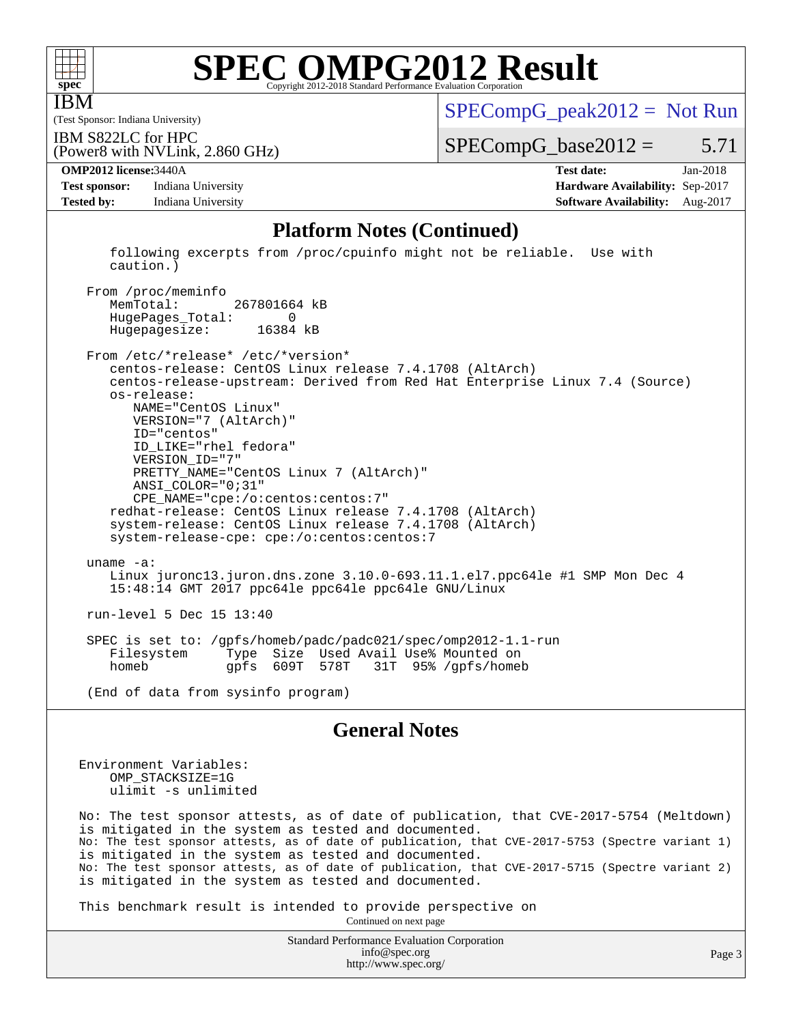

IBM

# **[SPEC OMPG2012 Result](http://www.spec.org/auto/omp2012/Docs/result-fields.html#SPECOMPG2012Result)**

(Test Sponsor: Indiana University)

 $SPECompG_peak2012 = Not Run$  $SPECompG_peak2012 = Not Run$ 

IBM S822LC for HPC

(Power8 with NVLink, 2.860 GHz)

 $SPECompG_base2012 = 5.71$  $SPECompG_base2012 = 5.71$ 

**[Test sponsor:](http://www.spec.org/auto/omp2012/Docs/result-fields.html#Testsponsor)** Indiana University **[Hardware Availability:](http://www.spec.org/auto/omp2012/Docs/result-fields.html#HardwareAvailability)** Sep-2017 **[Tested by:](http://www.spec.org/auto/omp2012/Docs/result-fields.html#Testedby)** Indiana University **[Software Availability:](http://www.spec.org/auto/omp2012/Docs/result-fields.html#SoftwareAvailability)** Aug-2017

**[OMP2012 license:](http://www.spec.org/auto/omp2012/Docs/result-fields.html#OMP2012license)**3440A **[Test date:](http://www.spec.org/auto/omp2012/Docs/result-fields.html#Testdate)** Jan-2018

### **[Platform Notes \(Continued\)](http://www.spec.org/auto/omp2012/Docs/result-fields.html#PlatformNotes)**

 following excerpts from /proc/cpuinfo might not be reliable. Use with caution.)

From /proc/meminfo<br>MemTotal: 267801664 kB HugePages\_Total: 0 Hugepagesize: 16384 kB

 From /etc/\*release\* /etc/\*version\* centos-release: CentOS Linux release 7.4.1708 (AltArch) centos-release-upstream: Derived from Red Hat Enterprise Linux 7.4 (Source) os-release: NAME="CentOS Linux" VERSION="7 (AltArch)" ID="centos" ID\_LIKE="rhel fedora" VERSION\_ID="7" PRETTY\_NAME="CentOS Linux 7 (AltArch)" ANSI\_COLOR="0;31" CPE\_NAME="cpe:/o:centos:centos:7" redhat-release: CentOS Linux release 7.4.1708 (AltArch) system-release: CentOS Linux release 7.4.1708 (AltArch) system-release-cpe: cpe:/o:centos:centos:7 uname -a: Linux juronc13.juron.dns.zone 3.10.0-693.11.1.el7.ppc64le #1 SMP Mon Dec 4 15:48:14 GMT 2017 ppc64le ppc64le ppc64le GNU/Linux run-level 5 Dec 15 13:40 SPEC is set to: /gpfs/homeb/padc/padc021/spec/omp2012-1.1-run Type Size Used Avail Use% Mounted on<br>gpfs 609T 578T 31T 95% /gpfs/homel homeb gpfs 609T 578T 31T 95% /gpfs/homeb

(End of data from sysinfo program)

### **[General Notes](http://www.spec.org/auto/omp2012/Docs/result-fields.html#GeneralNotes)**

Environment Variables: OMP\_STACKSIZE=1G ulimit -s unlimited

No: The test sponsor attests, as of date of publication, that CVE-2017-5754 (Meltdown) is mitigated in the system as tested and documented. No: The test sponsor attests, as of date of publication, that CVE-2017-5753 (Spectre variant 1) is mitigated in the system as tested and documented. No: The test sponsor attests, as of date of publication, that CVE-2017-5715 (Spectre variant 2) is mitigated in the system as tested and documented.

This benchmark result is intended to provide perspective on

Continued on next page

Standard Performance Evaluation Corporation [info@spec.org](mailto:info@spec.org) <http://www.spec.org/>

Page 3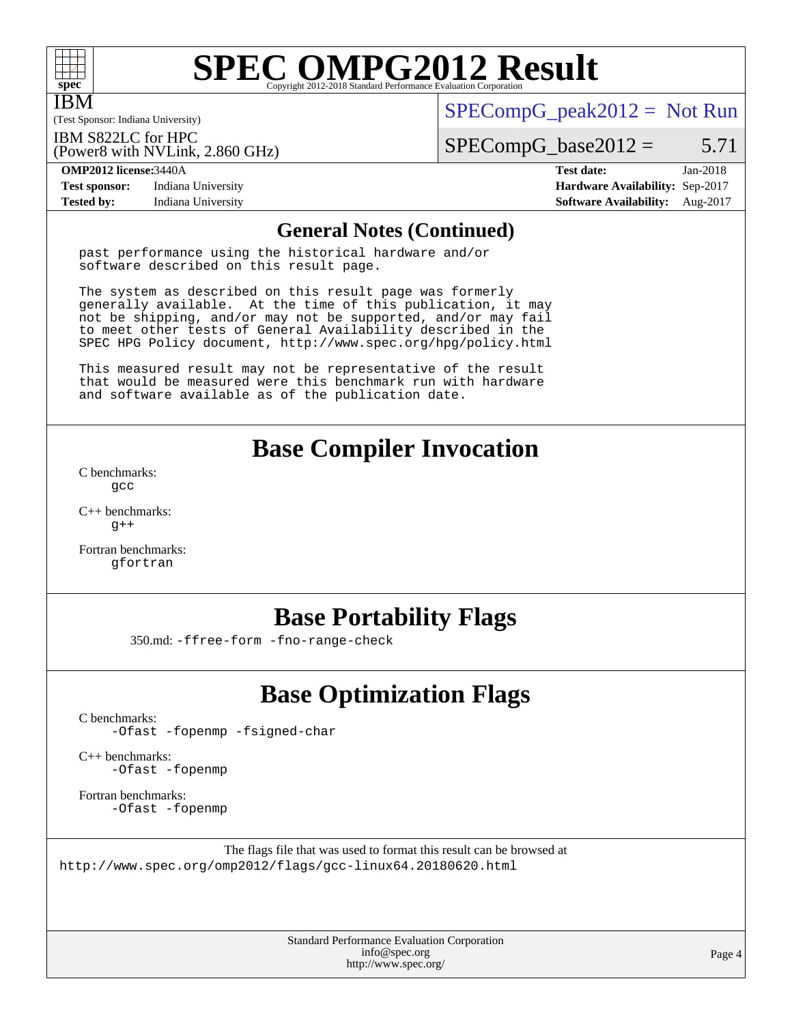

IBM

# **[SPEC OMPG2012 Result](http://www.spec.org/auto/omp2012/Docs/result-fields.html#SPECOMPG2012Result)**

(Test Sponsor: Indiana University)

 $SPECompG_peak2012 = Not Run$  $SPECompG_peak2012 = Not Run$ 

IBM S822LC for HPC

(Power8 with NVLink, 2.860 GHz)

 $SPECompG_base2012 = 5.71$  $SPECompG_base2012 = 5.71$ 

**[Test sponsor:](http://www.spec.org/auto/omp2012/Docs/result-fields.html#Testsponsor)** Indiana University **[Hardware Availability:](http://www.spec.org/auto/omp2012/Docs/result-fields.html#HardwareAvailability)** Sep-2017 **[Tested by:](http://www.spec.org/auto/omp2012/Docs/result-fields.html#Testedby)** Indiana University **[Software Availability:](http://www.spec.org/auto/omp2012/Docs/result-fields.html#SoftwareAvailability)** Aug-2017

**[OMP2012 license:](http://www.spec.org/auto/omp2012/Docs/result-fields.html#OMP2012license)**3440A **[Test date:](http://www.spec.org/auto/omp2012/Docs/result-fields.html#Testdate)** Jan-2018

## **[General Notes \(Continued\)](http://www.spec.org/auto/omp2012/Docs/result-fields.html#GeneralNotes)**

past performance using the historical hardware and/or software described on this result page.

The system as described on this result page was formerly generally available. At the time of this publication, it may not be shipping, and/or may not be supported, and/or may fail to meet other tests of General Availability described in the SPEC HPG Policy document, <http://www.spec.org/hpg/policy.html>

This measured result may not be representative of the result that would be measured were this benchmark run with hardware and software available as of the publication date.

## **[Base Compiler Invocation](http://www.spec.org/auto/omp2012/Docs/result-fields.html#BaseCompilerInvocation)**

[C benchmarks](http://www.spec.org/auto/omp2012/Docs/result-fields.html#Cbenchmarks): [gcc](http://www.spec.org/omp2012/results/res2018q2/omp2012-20180313-00139.flags.html#user_CCbase_gcc_e0d511356bd44120af49cc96c9dcf3b3)

[C++ benchmarks:](http://www.spec.org/auto/omp2012/Docs/result-fields.html#CXXbenchmarks)  $q++$ 

[Fortran benchmarks](http://www.spec.org/auto/omp2012/Docs/result-fields.html#Fortranbenchmarks): [gfortran](http://www.spec.org/omp2012/results/res2018q2/omp2012-20180313-00139.flags.html#user_FCbase_gfortran_a303edaa4a81c8aab35b1bda5c9ef7ba)

# **[Base Portability Flags](http://www.spec.org/auto/omp2012/Docs/result-fields.html#BasePortabilityFlags)**

350.md: [-ffree-form](http://www.spec.org/omp2012/results/res2018q2/omp2012-20180313-00139.flags.html#user_baseFPORTABILITY350_md_f-ffree-form) [-fno-range-check](http://www.spec.org/omp2012/results/res2018q2/omp2012-20180313-00139.flags.html#user_baseFPORTABILITY350_md_f-fno-range-check)

# **[Base Optimization Flags](http://www.spec.org/auto/omp2012/Docs/result-fields.html#BaseOptimizationFlags)**

[C benchmarks](http://www.spec.org/auto/omp2012/Docs/result-fields.html#Cbenchmarks):

[-Ofast](http://www.spec.org/omp2012/results/res2018q2/omp2012-20180313-00139.flags.html#user_CCbase_f-Ofast) [-fopenmp](http://www.spec.org/omp2012/results/res2018q2/omp2012-20180313-00139.flags.html#user_CCbase_f-fopenmp) [-fsigned-char](http://www.spec.org/omp2012/results/res2018q2/omp2012-20180313-00139.flags.html#user_CCbase_f-signed-char_ea072296ce3abda7ab095741e7c36064)

[C++ benchmarks:](http://www.spec.org/auto/omp2012/Docs/result-fields.html#CXXbenchmarks) [-Ofast](http://www.spec.org/omp2012/results/res2018q2/omp2012-20180313-00139.flags.html#user_CXXbase_f-Ofast) [-fopenmp](http://www.spec.org/omp2012/results/res2018q2/omp2012-20180313-00139.flags.html#user_CXXbase_f-fopenmp)

[Fortran benchmarks](http://www.spec.org/auto/omp2012/Docs/result-fields.html#Fortranbenchmarks): [-Ofast](http://www.spec.org/omp2012/results/res2018q2/omp2012-20180313-00139.flags.html#user_FCbase_f-Ofast) [-fopenmp](http://www.spec.org/omp2012/results/res2018q2/omp2012-20180313-00139.flags.html#user_FCbase_f-fopenmp)

The flags file that was used to format this result can be browsed at <http://www.spec.org/omp2012/flags/gcc-linux64.20180620.html>

> Standard Performance Evaluation Corporation [info@spec.org](mailto:info@spec.org) <http://www.spec.org/>